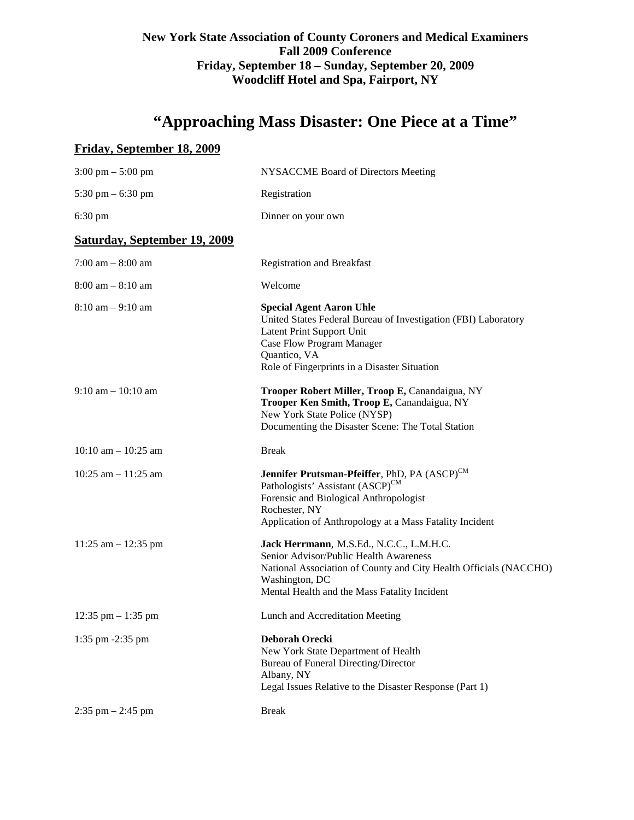## **New York State Association of County Coroners and Medical Examiners Fall 2009 Conference Friday, September 18 – Sunday, September 20, 2009 Woodcliff Hotel and Spa, Fairport, NY**

# **"Approaching Mass Disaster: One Piece at a Time"**

## **Friday, September 18, 2009**

| NYSACCME Board of Directors Meeting                                                                                                                                                                                            |
|--------------------------------------------------------------------------------------------------------------------------------------------------------------------------------------------------------------------------------|
| Registration                                                                                                                                                                                                                   |
| Dinner on your own                                                                                                                                                                                                             |
|                                                                                                                                                                                                                                |
| <b>Registration and Breakfast</b>                                                                                                                                                                                              |
| Welcome                                                                                                                                                                                                                        |
| <b>Special Agent Aaron Uhle</b><br>United States Federal Bureau of Investigation (FBI) Laboratory<br>Latent Print Support Unit<br>Case Flow Program Manager<br>Quantico, VA<br>Role of Fingerprints in a Disaster Situation    |
| Trooper Robert Miller, Troop E, Canandaigua, NY<br>Trooper Ken Smith, Troop E, Canandaigua, NY<br>New York State Police (NYSP)<br>Documenting the Disaster Scene: The Total Station                                            |
| <b>Break</b>                                                                                                                                                                                                                   |
| Jennifer Prutsman-Pfeiffer, PhD, PA (ASCP) <sup>CM</sup><br>Pathologists' Assistant (ASCP) <sup>CM</sup><br>Forensic and Biological Anthropologist<br>Rochester, NY<br>Application of Anthropology at a Mass Fatality Incident |
| Jack Herrmann, M.S.Ed., N.C.C., L.M.H.C.<br>Senior Advisor/Public Health Awareness<br>National Association of County and City Health Officials (NACCHO)<br>Washington, DC<br>Mental Health and the Mass Fatality Incident      |
| Lunch and Accreditation Meeting                                                                                                                                                                                                |
| Deborah Orecki<br>New York State Department of Health<br><b>Bureau of Funeral Directing/Director</b><br>Albany, NY<br>Legal Issues Relative to the Disaster Response (Part 1)                                                  |
| <b>Break</b>                                                                                                                                                                                                                   |
|                                                                                                                                                                                                                                |